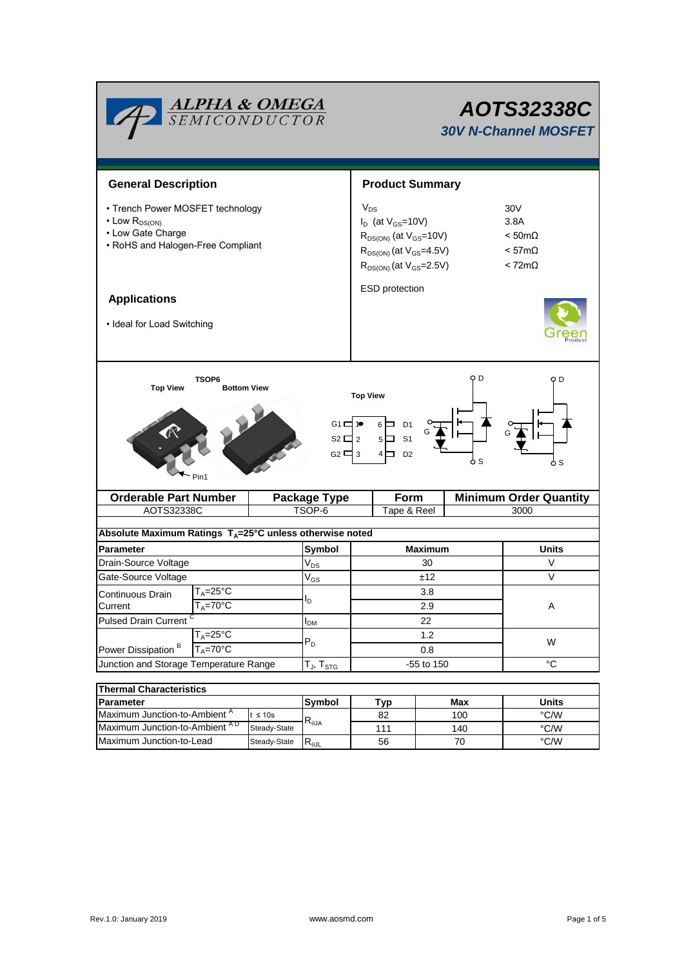| <b>ALPHA &amp; OMEGA</b><br>SEMICONDUCTOR                                                                                                                                                                                              |                                    | AOTS32338C<br><b>30V N-Channel MOSFET</b>                                                                                                       |                       |      |                                                                                            |                               |  |  |  |
|----------------------------------------------------------------------------------------------------------------------------------------------------------------------------------------------------------------------------------------|------------------------------------|-------------------------------------------------------------------------------------------------------------------------------------------------|-----------------------|------|--------------------------------------------------------------------------------------------|-------------------------------|--|--|--|
| <b>General Description</b>                                                                                                                                                                                                             |                                    | <b>Product Summary</b>                                                                                                                          |                       |      |                                                                                            |                               |  |  |  |
| • Trench Power MOSFET technology<br>$\cdot$ Low $R_{DS(ON)}$<br>• Low Gate Charge<br>• RoHS and Halogen-Free Compliant                                                                                                                 |                                    | $V_{DS}$<br>$I_D$ (at $V_{GS}$ =10V)<br>$R_{DS(ON)}$ (at $V_{GS}$ =10V)<br>$R_{DS(ON)}$ (at $V_{GS}$ =4.5V)<br>$R_{DS(ON)}$ (at $V_{GS}$ =2.5V) |                       |      | 30 <sub>V</sub><br>3.8A<br>$< 50 \text{m}\Omega$<br>$< 57m\Omega$<br>$< 72 \text{m}\Omega$ |                               |  |  |  |
| <b>Applications</b>                                                                                                                                                                                                                    |                                    |                                                                                                                                                 | <b>ESD</b> protection |      |                                                                                            |                               |  |  |  |
| • Ideal for Load Switching                                                                                                                                                                                                             |                                    |                                                                                                                                                 |                       |      |                                                                                            |                               |  |  |  |
| O D<br>TSOP6<br>Q D<br><b>Top View</b><br><b>Bottom View</b><br><b>Top View</b><br>$G1 \Box P$<br>$6 \Box$<br>D <sub>1</sub><br>$S2 \Box 2$<br>S <sub>1</sub><br>$5\Box$<br>G2 $\Box$ 3<br>4 □<br>D <sub>2</sub><br>6 S<br>ዕ s<br>Pin1 |                                    |                                                                                                                                                 |                       |      |                                                                                            |                               |  |  |  |
| <b>Orderable Part Number</b>                                                                                                                                                                                                           |                                    | <b>Package Type</b>                                                                                                                             |                       | Form |                                                                                            | <b>Minimum Order Quantity</b> |  |  |  |
| AOTS32338C                                                                                                                                                                                                                             |                                    | TSOP-6                                                                                                                                          | Tape & Reel           |      |                                                                                            | 3000                          |  |  |  |
| Absolute Maximum Ratings T <sub>A</sub> =25°C unless otherwise noted                                                                                                                                                                   |                                    |                                                                                                                                                 |                       |      |                                                                                            |                               |  |  |  |
| <b>Parameter</b>                                                                                                                                                                                                                       | Symbol                             | <b>Maximum</b>                                                                                                                                  |                       |      | Units                                                                                      |                               |  |  |  |
| Drain-Source Voltage                                                                                                                                                                                                                   |                                    | $\mathrm{V}_{\mathrm{DS}}$                                                                                                                      | 30                    |      |                                                                                            | V                             |  |  |  |
| Gate-Source Voltage                                                                                                                                                                                                                    |                                    | $\rm V_{GS}$                                                                                                                                    | ±12                   |      |                                                                                            | $\vee$                        |  |  |  |
| T <sub>A</sub> =25°C<br>Continuous Drain                                                                                                                                                                                               |                                    |                                                                                                                                                 | 3.8                   |      |                                                                                            |                               |  |  |  |
| Current<br>$T_A = 70^{\circ}$ C                                                                                                                                                                                                        |                                    | l <sub>D</sub>                                                                                                                                  | 2.9                   |      |                                                                                            | A                             |  |  |  |
| <b>Pulsed Drain Current</b>                                                                                                                                                                                                            |                                    | $I_{DM}$                                                                                                                                        | 22                    |      |                                                                                            |                               |  |  |  |
| $T_A = 25$ °C<br>Power Dissipation <sup>B</sup><br>$T_A = 70^\circ C$                                                                                                                                                                  |                                    | $P_D$                                                                                                                                           | 1.2<br>0.8            |      |                                                                                            | W                             |  |  |  |
| Junction and Storage Temperature Range                                                                                                                                                                                                 | $T_{\mathsf{J}}, T_{\mathsf{STG}}$ | -55 to 150                                                                                                                                      |                       |      | $^{\circ}C$                                                                                |                               |  |  |  |
|                                                                                                                                                                                                                                        |                                    |                                                                                                                                                 |                       |      |                                                                                            |                               |  |  |  |
| <b>Thermal Characteristics</b><br>Parameter                                                                                                                                                                                            | <b>Symbol</b>                      |                                                                                                                                                 |                       | Max  | <b>Units</b>                                                                               |                               |  |  |  |
| Maximum Junction-to-Ambient <sup>A</sup>                                                                                                                                                                                               | $t \leq 10s$                       |                                                                                                                                                 | Typ<br>82             |      | 100                                                                                        | $\degree$ C/W                 |  |  |  |
| Maximum Junction-to-Ambient AD                                                                                                                                                                                                         | Steady-State                       | $R_{\theta$ JA                                                                                                                                  | 111                   | 140  |                                                                                            | $\degree$ C/W                 |  |  |  |

Steady-State  $R_{\theta$ JL

Maximum Junction-to-Lead Steady-State R<sub>eJL</sub> 56 70 70 °C/W

56

70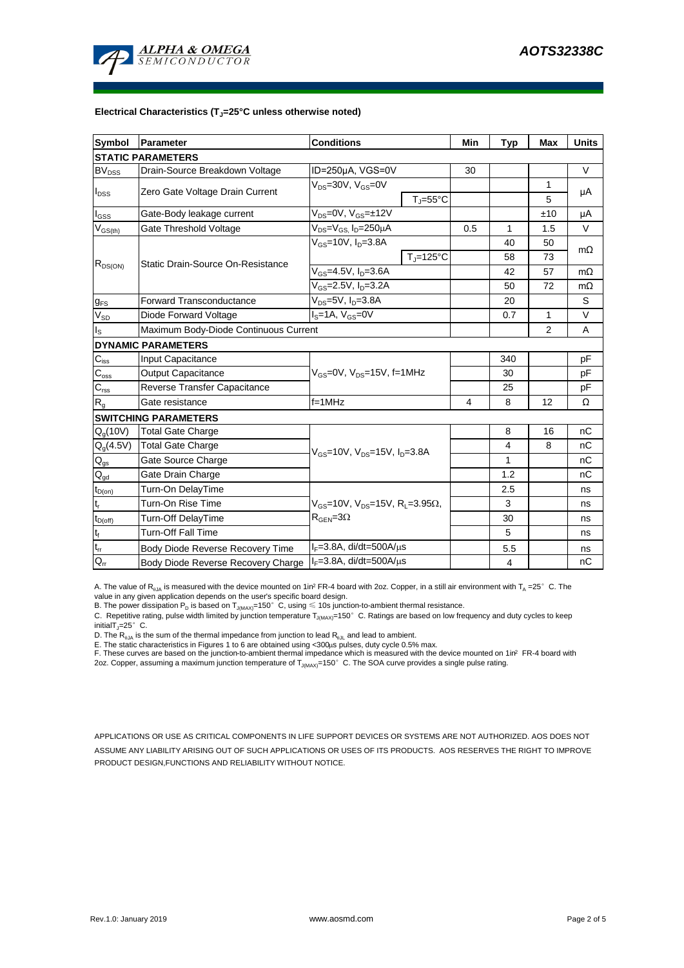

#### **Electrical Characteristics (TJ=25°C unless otherwise noted)**

| <b>Symbol</b>               | Parameter                             | <b>Conditions</b>                                                                           | Min                            | <b>Typ</b> | <b>Max</b>     | <b>Units</b> |           |  |  |  |  |  |
|-----------------------------|---------------------------------------|---------------------------------------------------------------------------------------------|--------------------------------|------------|----------------|--------------|-----------|--|--|--|--|--|
| <b>STATIC PARAMETERS</b>    |                                       |                                                                                             |                                |            |                |              |           |  |  |  |  |  |
| <b>BV</b> <sub>DSS</sub>    | Drain-Source Breakdown Voltage        | ID=250µA, VGS=0V                                                                            |                                | 30         |                |              | V         |  |  |  |  |  |
| $I_{\text{DSS}}$            |                                       | $V_{DS}$ =30V, $V_{GS}$ =0V                                                                 |                                |            |                | 1            |           |  |  |  |  |  |
|                             | Zero Gate Voltage Drain Current       |                                                                                             | $T_{\parallel} = 55^{\circ}$ C |            |                | 5            | μA        |  |  |  |  |  |
| $I_{GSS}$                   | Gate-Body leakage current             | $V_{DS} = 0V$ , $V_{GS} = \pm 12V$                                                          |                                |            |                | ±10          | μA        |  |  |  |  |  |
| $V_{GS(th)}$                | Gate Threshold Voltage                | $\overline{V_{DS}}$ = $V_{GS}$ , I <sub>D</sub> =250µA                                      |                                | 0.5        | 1              | 1.5          | $\vee$    |  |  |  |  |  |
| $R_{DS(ON)}$                | Static Drain-Source On-Resistance     | $V_{GS}$ =10V, $I_{D}$ =3.8A                                                                |                                |            | 40             | 50           | $m\Omega$ |  |  |  |  |  |
|                             |                                       |                                                                                             | $T_i = 125$ °C                 |            | 58             | 73           |           |  |  |  |  |  |
|                             |                                       | $V_{GS}$ =4.5V, $I_D$ =3.6A                                                                 |                                |            | 42             | 57           | $m\Omega$ |  |  |  |  |  |
|                             |                                       | $V_{GS} = 2.5V, I_D = 3.2A$                                                                 |                                | 50         | 72             | $m\Omega$    |           |  |  |  |  |  |
| $g_{FS}$                    | <b>Forward Transconductance</b>       | $V_{DS} = 5V$ , $I_D = 3.8A$                                                                |                                |            | 20             |              | S         |  |  |  |  |  |
| $V_{SD}$                    | Diode Forward Voltage                 | $IS=1A, VGS=0V$                                                                             |                                |            | 0.7            | 1            | V         |  |  |  |  |  |
| $I_{\rm S}$                 | Maximum Body-Diode Continuous Current |                                                                                             |                                |            |                | 2            | A         |  |  |  |  |  |
|                             | <b>DYNAMIC PARAMETERS</b>             |                                                                                             |                                |            |                |              |           |  |  |  |  |  |
| $C_{\text{iss}}$            | Input Capacitance                     | $V_{GS}$ =0V, $V_{DS}$ =15V, f=1MHz                                                         |                                |            | 340            |              | рF        |  |  |  |  |  |
| $C_{\rm oss}$               | Output Capacitance                    |                                                                                             |                                |            | 30             |              | рF        |  |  |  |  |  |
| $\mathsf{C}_{\text{rss}}$   | Reverse Transfer Capacitance          |                                                                                             |                                |            | 25             |              | рF        |  |  |  |  |  |
| R <sub>g</sub>              | Gate resistance                       | $f = 1$ MHz                                                                                 |                                | 4          | 8              | 12           | Ω         |  |  |  |  |  |
| <b>SWITCHING PARAMETERS</b> |                                       |                                                                                             |                                |            |                |              |           |  |  |  |  |  |
| $Q_q(10V)$                  | <b>Total Gate Charge</b>              | $V_{GS}$ =10V, $V_{DS}$ =15V, $I_{D}$ =3.8A                                                 |                                |            | 8              | 16           | nC        |  |  |  |  |  |
| $Q_g(4.5\overline{V})$      | <b>Total Gate Charge</b>              |                                                                                             |                                |            | 4              | 8            | nC        |  |  |  |  |  |
| $\mathsf{Q}_{\text{gs}}$    | Gate Source Charge                    |                                                                                             |                                |            | 1              |              | пC        |  |  |  |  |  |
| $\mathsf{Q}_{\text{gd}}$    | Gate Drain Charge                     |                                                                                             |                                |            | 1.2            |              | nC        |  |  |  |  |  |
| $t_{D(on)}$                 | Turn-On DelayTime                     |                                                                                             |                                |            | 2.5            |              | ns        |  |  |  |  |  |
| $t_r$                       | Turn-On Rise Time                     | $V_{GS}$ =10V, $V_{DS}$ =15V, R <sub>L</sub> =3.95 $\Omega$ ,<br>$R_{\text{GEN}} = 3\Omega$ |                                |            | 3              |              | ns        |  |  |  |  |  |
| $t_{D(off)}$                | Turn-Off DelayTime                    |                                                                                             |                                |            | 30             |              | ns        |  |  |  |  |  |
| $\mathsf{t}_{\mathsf{f}}$   | <b>Turn-Off Fall Time</b>             |                                                                                             |                                |            | 5              |              | ns        |  |  |  |  |  |
| $\mathfrak{t}_{\text{rr}}$  | Body Diode Reverse Recovery Time      | $I_F = 3.8A$ , di/dt=500A/ $\mu$ s                                                          |                                |            | 5.5            |              | ns        |  |  |  |  |  |
| $Q_{rr}$                    | Body Diode Reverse Recovery Charge    | $I_F = 3.8A$ , di/dt=500A/ $\mu$ s                                                          |                                |            | $\overline{4}$ |              | nC        |  |  |  |  |  |

A. The value of R<sub>aJA</sub> is measured with the device mounted on 1in<sup>2</sup> FR-4 board with 2oz. Copper, in a still air environment with T<sub>A</sub> =25° C. The value in any given application depends on the user's specific board design.

B. The power dissipation  ${\sf P}_{\sf D}$  is based on  ${\sf T}_{\sf J(MAX)}$ =150 $^\circ\,$  C, using  $\leqslant$  10s junction-to-ambient thermal resistance.

C. Repetitive rating, pulse width limited by junction temperature T $_{\rm J(MAX)}$ =150°C. Ratings are based on low frequency and duty cycles to keep initialT $j=25^\circ$  C.

D. The  $R_{q_0A}$  is the sum of the thermal impedance from junction to lead  $R_{q_0L}$  and lead to ambient.

E. The static characteristics in Figures 1 to 6 are obtained using <300µs pulses, duty cycle 0.5% max.<br>F. These curves are based on the junction-to-ambient thermal impedance which is measured with the device mounted on 1in

APPLICATIONS OR USE AS CRITICAL COMPONENTS IN LIFE SUPPORT DEVICES OR SYSTEMS ARE NOT AUTHORIZED. AOS DOES NOT ASSUME ANY LIABILITY ARISING OUT OF SUCH APPLICATIONS OR USES OF ITS PRODUCTS. AOS RESERVES THE RIGHT TO IMPROVE PRODUCT DESIGN,FUNCTIONS AND RELIABILITY WITHOUT NOTICE.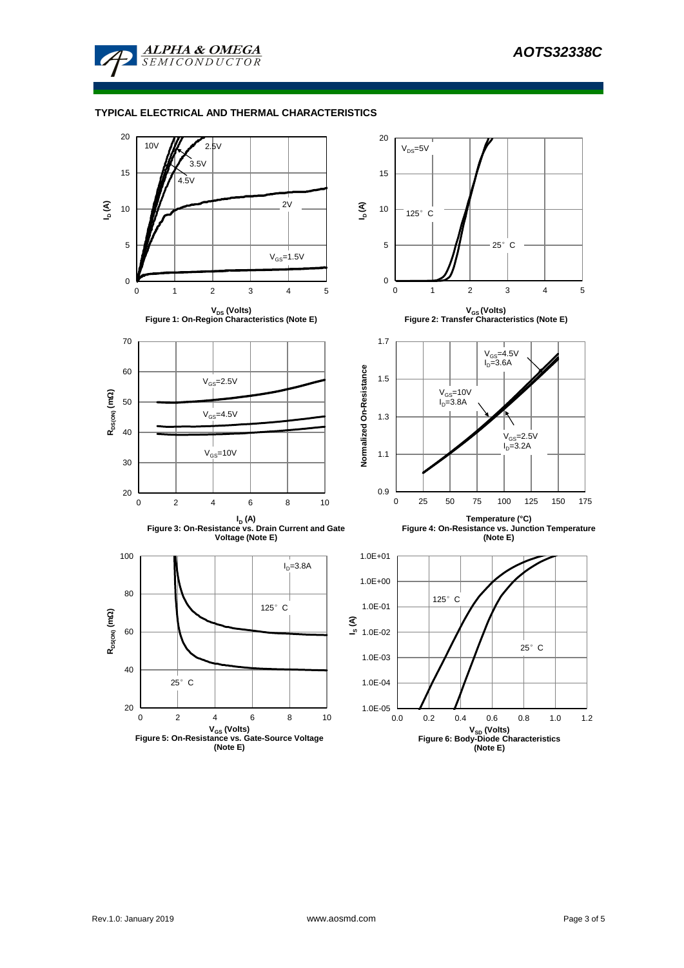

### **TYPICAL ELECTRICAL AND THERMAL CHARACTERISTICS**

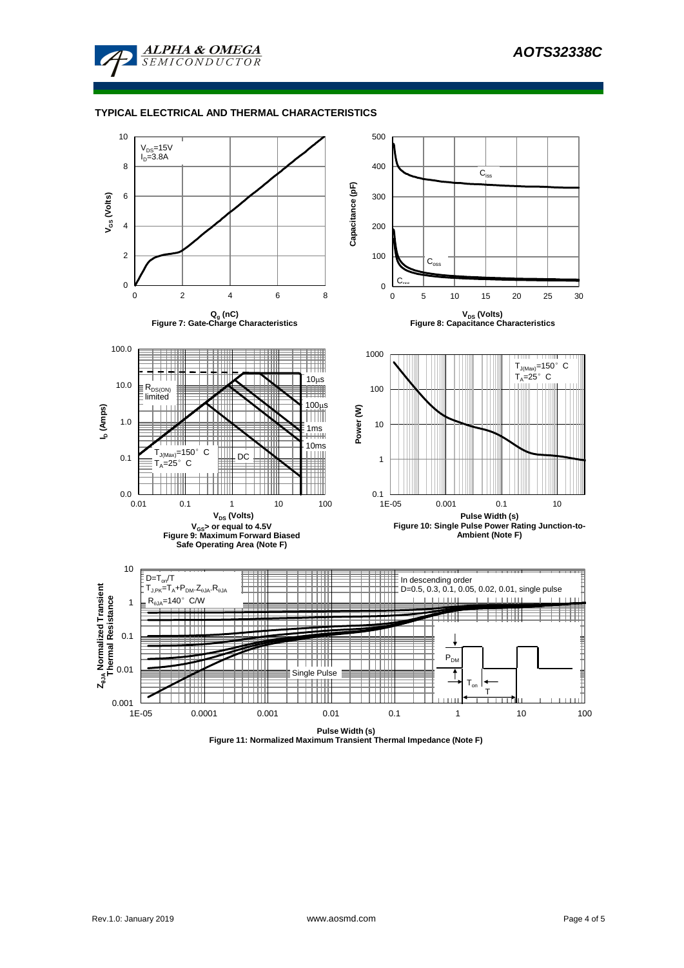

### **TYPICAL ELECTRICAL AND THERMAL CHARACTERISTICS**